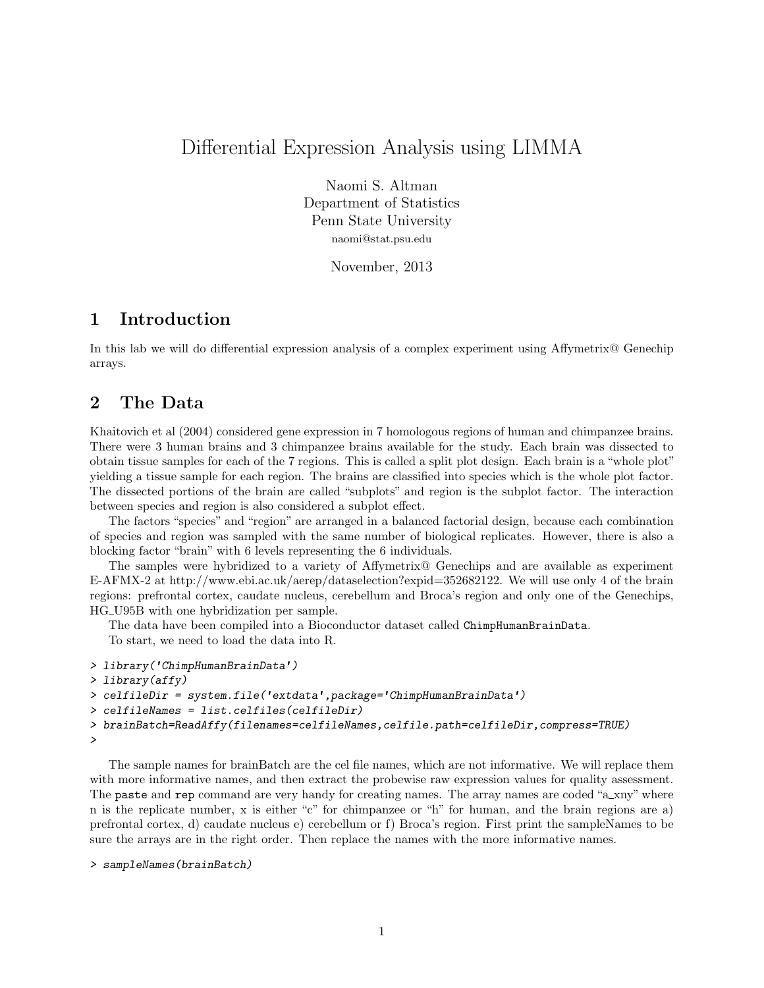# Differential Expression Analysis using LIMMA

Naomi S. Altman Department of Statistics Penn State University naomi@stat.psu.edu

November, 2013

#### 1 Introduction

In this lab we will do differential expression analysis of a complex experiment using Affymetrix@ Genechip arrays.

### 2 The Data

Khaitovich et al (2004) considered gene expression in 7 homologous regions of human and chimpanzee brains. There were 3 human brains and 3 chimpanzee brains available for the study. Each brain was dissected to obtain tissue samples for each of the 7 regions. This is called a split plot design. Each brain is a "whole plot" yielding a tissue sample for each region. The brains are classified into species which is the whole plot factor. The dissected portions of the brain are called "subplots" and region is the subplot factor. The interaction between species and region is also considered a subplot effect.

The factors "species" and "region" are arranged in a balanced factorial design, because each combination of species and region was sampled with the same number of biological replicates. However, there is also a blocking factor "brain" with 6 levels representing the 6 individuals.

The samples were hybridized to a variety of Affymetrix@ Genechips and are available as experiment E-AFMX-2 at http://www.ebi.ac.uk/aerep/dataselection?expid=352682122. We will use only 4 of the brain regions: prefrontal cortex, caudate nucleus, cerebellum and Broca's region and only one of the Genechips, HG U95B with one hybridization per sample.

The data have been compiled into a Bioconductor dataset called ChimpHumanBrainData. To start, we need to load the data into R.

```
> library('ChimpHumanBrainData')
> library(affy)
> celfileDir = system.file('extdata',package='ChimpHumanBrainData')
> celfileNames = list.celfiles(celfileDir)
> brainBatch=ReadAffy(filenames=celfileNames,celfile.path=celfileDir,compress=TRUE)
>
```
The sample names for brainBatch are the cel file names, which are not informative. We will replace them with more informative names, and then extract the probewise raw expression values for quality assessment. The paste and rep command are very handy for creating names. The array names are coded "a\_xny" where n is the replicate number, x is either "c" for chimpanzee or "h" for human, and the brain regions are a) prefrontal cortex, d) caudate nucleus e) cerebellum or f) Broca's region. First print the sampleNames to be sure the arrays are in the right order. Then replace the names with the more informative names.

```
> sampleNames(brainBatch)
```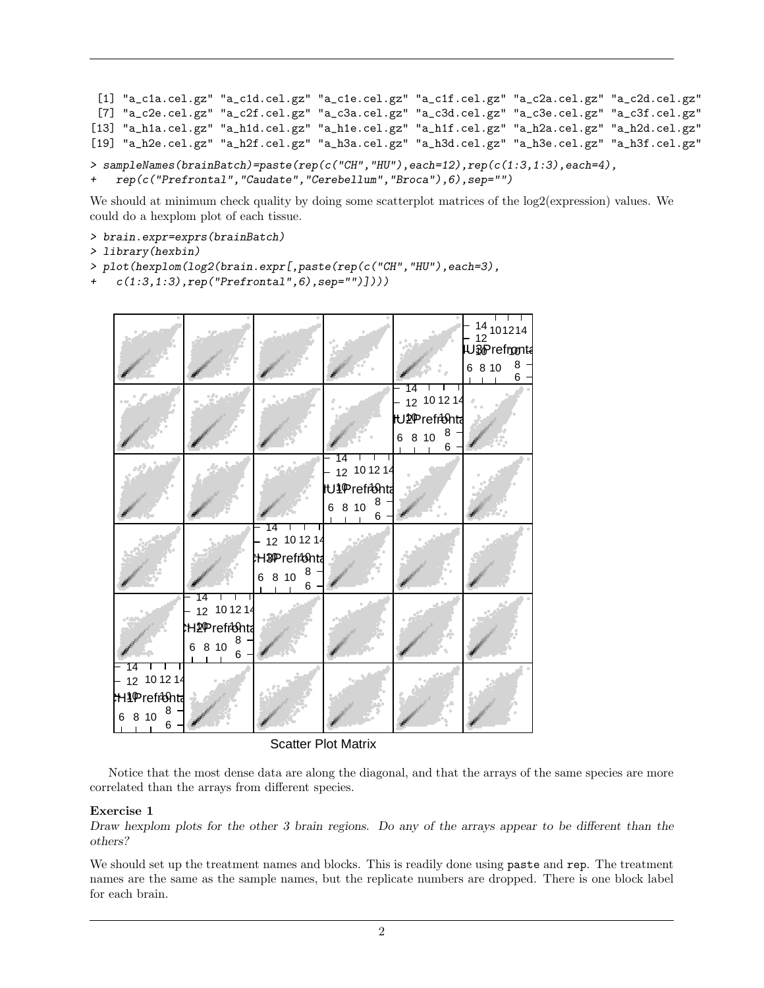```
[1] "a_c1a.cel.gz" "a_c1d.cel.gz" "a_c1e.cel.gz" "a_c1f.cel.gz" "a_c2a.cel.gz" "a_c2d.cel.gz"
 [7] "a_c2e.cel.gz" "a_c2f.cel.gz" "a_c3a.cel.gz" "a_c3d.cel.gz" "a_c3e.cel.gz" "a_c3f.cel.gz"
[13] "a_h1a.cel.gz" "a_h1d.cel.gz" "a_h1e.cel.gz" "a_h1f.cel.gz" "a_h2a.cel.gz" "a_h2d.cel.gz"
[19] "a_h2e.cel.gz" "a_h2f.cel.gz" "a_h3a.cel.gz" "a_h3d.cel.gz" "a_h3e.cel.gz" "a_h3f.cel.gz"
> sampleNames(brainBatch)=paste(rep(c("CH","HU"),each=12),rep(c(1:3,1:3),each=4),
```

```
+ rep(c("Prefrontal","Caudate","Cerebellum","Broca"),6),sep="")
```
We should at minimum check quality by doing some scatterplot matrices of the  $log2$ (expression) values. We could do a hexplom plot of each tissue.

- > brain.expr=exprs(brainBatch)
- > library(hexbin)
- > plot(hexplom(log2(brain.expr[,paste(rep(c("CH","HU"),each=3),
- $c(1:3,1:3)$ , rep("Prefrontal", 6), sep="")])))



Scatter Plot Matrix

Notice that the most dense data are along the diagonal, and that the arrays of the same species are more correlated than the arrays from different species.

#### Exercise 1

Draw hexplom plots for the other 3 brain regions. Do any of the arrays appear to be different than the others?

We should set up the treatment names and blocks. This is readily done using paste and rep. The treatment names are the same as the sample names, but the replicate numbers are dropped. There is one block label for each brain.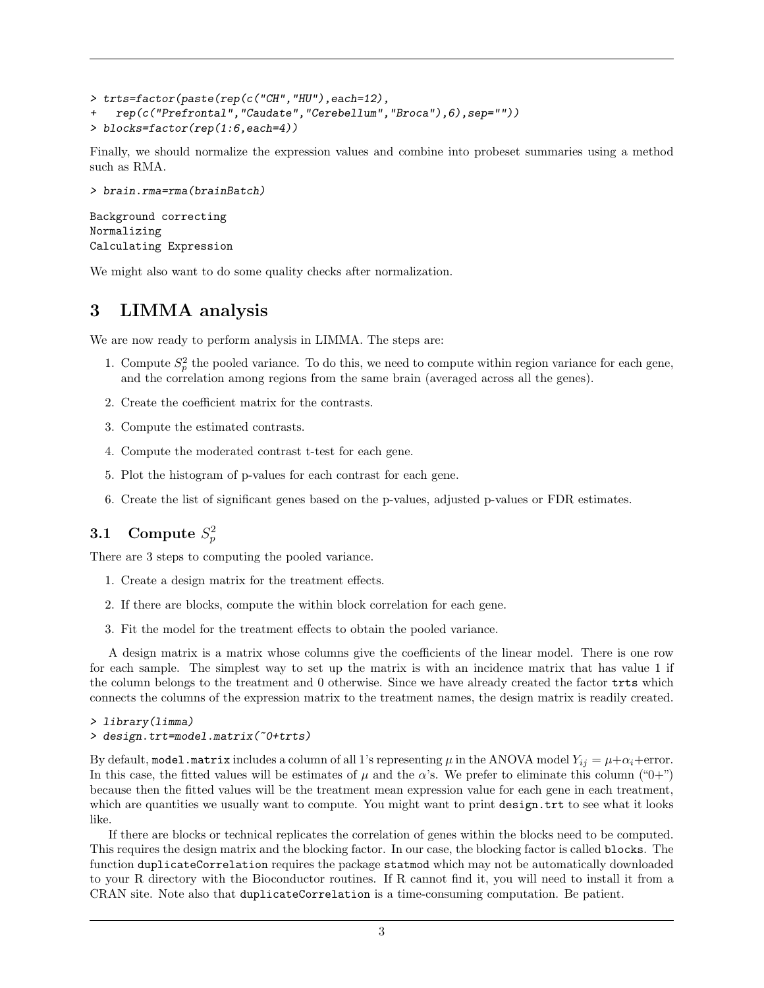```
> trts=factor(paste(rep(c("CH","HU"),each=12),
+ rep(c("Prefrontal","Caudate","Cerebellum","Broca"),6),sep=""))
> blocks=factor(rep(1:6,each=4))
```
Finally, we should normalize the expression values and combine into probeset summaries using a method such as RMA.

```
> brain.rma=rma(brainBatch)
```

```
Background correcting
Normalizing
Calculating Expression
```
We might also want to do some quality checks after normalization.

# 3 LIMMA analysis

We are now ready to perform analysis in LIMMA. The steps are:

- 1. Compute  $S_p^2$  the pooled variance. To do this, we need to compute within region variance for each gene, and the correlation among regions from the same brain (averaged across all the genes).
- 2. Create the coefficient matrix for the contrasts.
- 3. Compute the estimated contrasts.
- 4. Compute the moderated contrast t-test for each gene.
- 5. Plot the histogram of p-values for each contrast for each gene.
- 6. Create the list of significant genes based on the p-values, adjusted p-values or FDR estimates.

# 3.1 Compute  $S_p^2$

There are 3 steps to computing the pooled variance.

- 1. Create a design matrix for the treatment effects.
- 2. If there are blocks, compute the within block correlation for each gene.
- 3. Fit the model for the treatment effects to obtain the pooled variance.

A design matrix is a matrix whose columns give the coefficients of the linear model. There is one row for each sample. The simplest way to set up the matrix is with an incidence matrix that has value 1 if the column belongs to the treatment and 0 otherwise. Since we have already created the factor trts which connects the columns of the expression matrix to the treatment names, the design matrix is readily created.

```
> library(limma)
```

```
> design.trt=model.matrix(~0+trts)
```
By default, model.matrix includes a column of all 1's representing  $\mu$  in the ANOVA model  $Y_{ij} = \mu + \alpha_i +$ error. In this case, the fitted values will be estimates of  $\mu$  and the  $\alpha$ 's. We prefer to eliminate this column ("0+") because then the fitted values will be the treatment mean expression value for each gene in each treatment, which are quantities we usually want to compute. You might want to print design.trt to see what it looks like.

If there are blocks or technical replicates the correlation of genes within the blocks need to be computed. This requires the design matrix and the blocking factor. In our case, the blocking factor is called blocks. The function duplicateCorrelation requires the package statmod which may not be automatically downloaded to your R directory with the Bioconductor routines. If R cannot find it, you will need to install it from a CRAN site. Note also that duplicateCorrelation is a time-consuming computation. Be patient.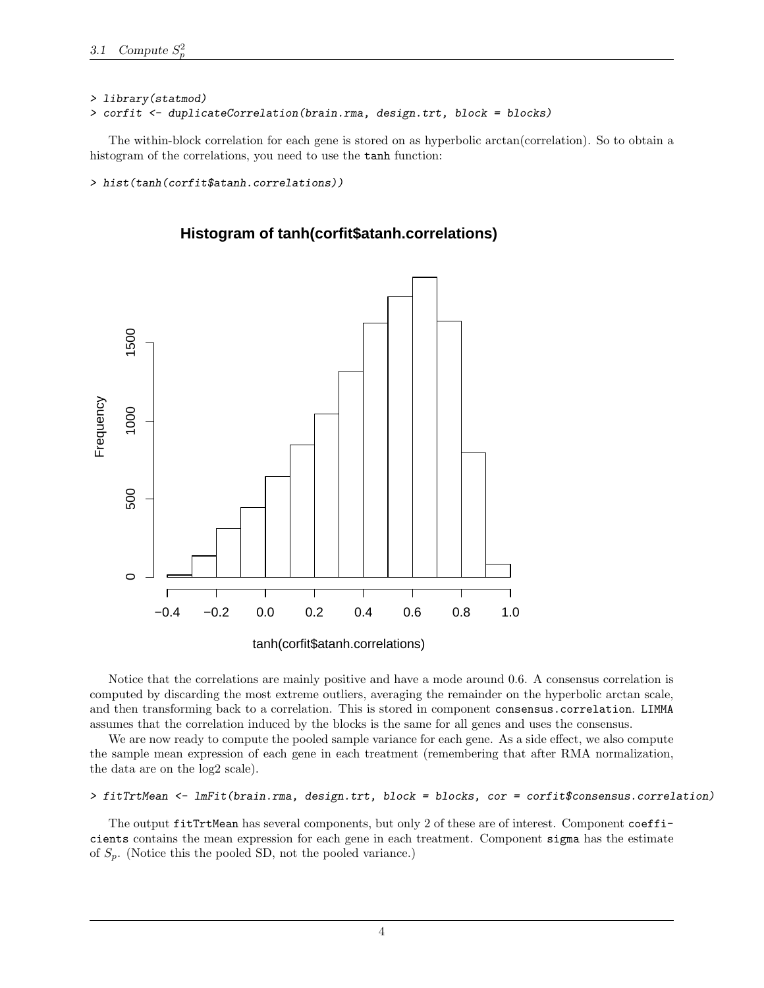#### > library(statmod)

```
> corfit <- duplicateCorrelation(brain.rma, design.trt, block = blocks)
```
The within-block correlation for each gene is stored on as hyperbolic arctan(correlation). So to obtain a histogram of the correlations, you need to use the tanh function:

> hist(tanh(corfit\$atanh.correlations))



**Histogram of tanh(corfit\$atanh.correlations)**

tanh(corfit\$atanh.correlations)

Notice that the correlations are mainly positive and have a mode around 0.6. A consensus correlation is computed by discarding the most extreme outliers, averaging the remainder on the hyperbolic arctan scale, and then transforming back to a correlation. This is stored in component consensus.correlation. LIMMA assumes that the correlation induced by the blocks is the same for all genes and uses the consensus.

We are now ready to compute the pooled sample variance for each gene. As a side effect, we also compute the sample mean expression of each gene in each treatment (remembering that after RMA normalization, the data are on the log2 scale).

#### > fitTrtMean <- lmFit(brain.rma, design.trt, block = blocks, cor = corfit\$consensus.correlation)

The output fitTrtMean has several components, but only 2 of these are of interest. Component coefficients contains the mean expression for each gene in each treatment. Component sigma has the estimate of  $S_p$ . (Notice this the pooled SD, not the pooled variance.)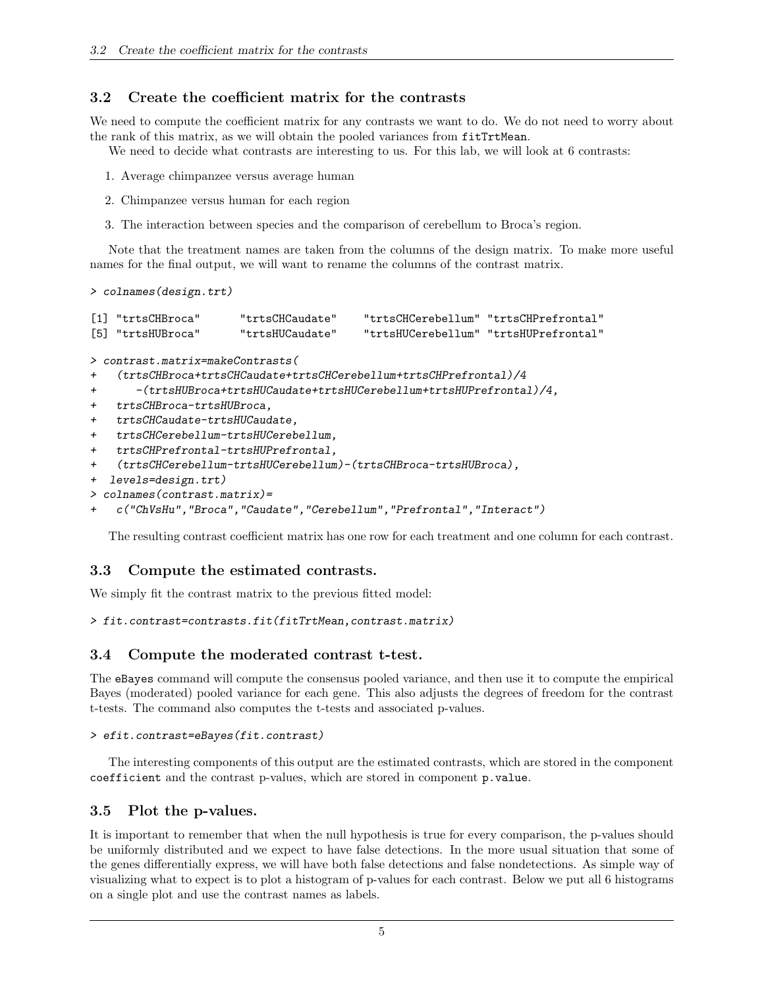### 3.2 Create the coefficient matrix for the contrasts

We need to compute the coefficient matrix for any contrasts we want to do. We do not need to worry about the rank of this matrix, as we will obtain the pooled variances from fitTrtMean.

We need to decide what contrasts are interesting to us. For this lab, we will look at 6 contrasts:

- 1. Average chimpanzee versus average human
- 2. Chimpanzee versus human for each region
- 3. The interaction between species and the comparison of cerebellum to Broca's region.

Note that the treatment names are taken from the columns of the design matrix. To make more useful names for the final output, we will want to rename the columns of the contrast matrix.

```
> colnames(design.trt)
```

| [1] "trtsCHBroca" | "trtsCHCaudate" | "trtsCHCerebellum" "trtsCHPrefrontal" |
|-------------------|-----------------|---------------------------------------|
| [5] "trtsHUBroca" | "trtsHUCaudate" | "trtsHUCerebellum" "trtsHUPrefrontal" |

```
> contrast.matrix=makeContrasts(
```

```
+ (trtsCHBroca+trtsCHCaudate+trtsCHCerebellum+trtsCHPrefrontal)/4
```
- + -(trtsHUBroca+trtsHUCaudate+trtsHUCerebellum+trtsHUPrefrontal)/4,
- + trtsCHBroca-trtsHUBroca,
- + trtsCHCaudate-trtsHUCaudate,
- + trtsCHCerebellum-trtsHUCerebellum,
- + trtsCHPrefrontal-trtsHUPrefrontal,

```
+ (trtsCHCerebellum-trtsHUCerebellum)-(trtsCHBroca-trtsHUBroca),
```
+ levels=design.trt)

```
> colnames(contrast.matrix)=
```

```
+ c("ChVsHu","Broca","Caudate","Cerebellum","Prefrontal","Interact")
```
The resulting contrast coefficient matrix has one row for each treatment and one column for each contrast.

### 3.3 Compute the estimated contrasts.

We simply fit the contrast matrix to the previous fitted model:

```
> fit.contrast=contrasts.fit(fitTrtMean,contrast.matrix)
```
### 3.4 Compute the moderated contrast t-test.

The eBayes command will compute the consensus pooled variance, and then use it to compute the empirical Bayes (moderated) pooled variance for each gene. This also adjusts the degrees of freedom for the contrast t-tests. The command also computes the t-tests and associated p-values.

```
> efit.contrast=eBayes(fit.contrast)
```
The interesting components of this output are the estimated contrasts, which are stored in the component coefficient and the contrast p-values, which are stored in component p.value.

### 3.5 Plot the p-values.

It is important to remember that when the null hypothesis is true for every comparison, the p-values should be uniformly distributed and we expect to have false detections. In the more usual situation that some of the genes differentially express, we will have both false detections and false nondetections. As simple way of visualizing what to expect is to plot a histogram of p-values for each contrast. Below we put all 6 histograms on a single plot and use the contrast names as labels.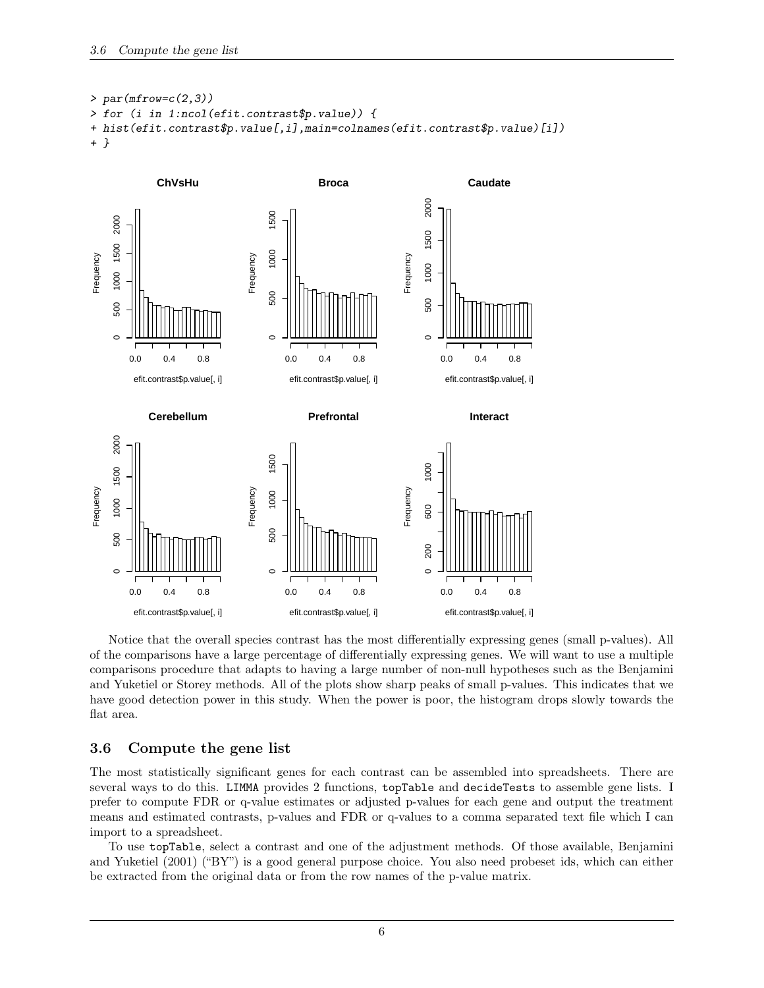```
> par(mfrow=c(2,3))> for (i in 1:ncol(efit.contrast$p.value)) {
+ hist(efit.contrast$p.value[,i],main=colnames(efit.contrast$p.value)[i])
+ }
```


Notice that the overall species contrast has the most differentially expressing genes (small p-values). All of the comparisons have a large percentage of differentially expressing genes. We will want to use a multiple comparisons procedure that adapts to having a large number of non-null hypotheses such as the Benjamini and Yuketiel or Storey methods. All of the plots show sharp peaks of small p-values. This indicates that we have good detection power in this study. When the power is poor, the histogram drops slowly towards the flat area.

### 3.6 Compute the gene list

The most statistically significant genes for each contrast can be assembled into spreadsheets. There are several ways to do this. LIMMA provides 2 functions, topTable and decideTests to assemble gene lists. I prefer to compute FDR or q-value estimates or adjusted p-values for each gene and output the treatment means and estimated contrasts, p-values and FDR or q-values to a comma separated text file which I can import to a spreadsheet.

To use topTable, select a contrast and one of the adjustment methods. Of those available, Benjamini and Yuketiel (2001) ("BY") is a good general purpose choice. You also need probeset ids, which can either be extracted from the original data or from the row names of the p-value matrix.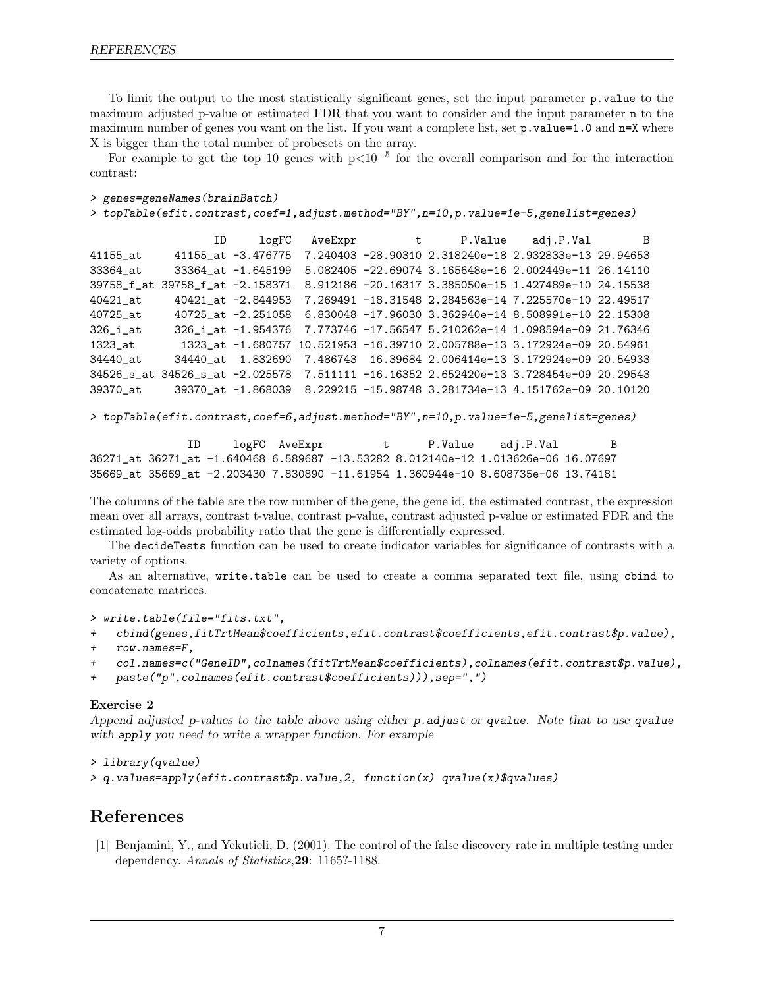To limit the output to the most statistically significant genes, set the input parameter p.value to the maximum adjusted p-value or estimated FDR that you want to consider and the input parameter n to the maximum number of genes you want on the list. If you want a complete list, set p.value=1.0 and n=X where X is bigger than the total number of probesets on the array.

For example to get the top 10 genes with  $p<10^{-5}$  for the overall comparison and for the interaction contrast:

```
> genes=geneNames(brainBatch)
```

```
> topTable(efit.contrast,coef=1,adjust.method="BY",n=10,p.value=1e-5,genelist=genes)
```

```
ID logFC AveExpr t P.Value adj.P.Val B
41155_at 41155_at -3.476775 7.240403 -28.90310 2.318240e-18 2.932833e-13 29.94653
33364_at 33364_at -1.645199 5.082405 -22.69074 3.165648e-16 2.002449e-11 26.14110
39758_f_at 39758_f_at -2.158371 8.912186 -20.16317 3.385050e-15 1.427489e-10 24.15538
40421_at 40421_at -2.844953 7.269491 -18.31548 2.284563e-14 7.225570e-10 22.49517
40725_at 40725_at -2.251058 6.830048 -17.96030 3.362940e-14 8.508991e-10 22.15308
326_i_at 326_i_at -1.954376 7.773746 -17.56547 5.210262e-14 1.098594e-09 21.76346
1323_at 1323_at -1.680757 10.521953 -16.39710 2.005788e-13 3.172924e-09 20.54961
34440_at 34440_at 1.832690 7.486743 16.39684 2.006414e-13 3.172924e-09 20.54933
34526_s_at 34526_s_at -2.025578 7.511111 -16.16352 2.652420e-13 3.728454e-09 20.29543
39370_at 39370_at -1.868039 8.229215 -15.98748 3.281734e-13 4.151762e-09 20.10120
```

```
> topTable(efit.contrast,coef=6,adjust.method="BY",n=10,p.value=1e-5,genelist=genes)
```
ID logFC AveExpr t P.Value adj.P.Val B 36271\_at 36271\_at -1.640468 6.589687 -13.53282 8.012140e-12 1.013626e-06 16.07697 35669\_at 35669\_at -2.203430 7.830890 -11.61954 1.360944e-10 8.608735e-06 13.74181

The columns of the table are the row number of the gene, the gene id, the estimated contrast, the expression mean over all arrays, contrast t-value, contrast p-value, contrast adjusted p-value or estimated FDR and the estimated log-odds probability ratio that the gene is differentially expressed.

The decideTests function can be used to create indicator variables for significance of contrasts with a variety of options.

As an alternative, write.table can be used to create a comma separated text file, using cbind to concatenate matrices.

```
> write.table(file="fits.txt",
```
+ cbind(genes,fitTrtMean\$coefficients,efit.contrast\$coefficients,efit.contrast\$p.value),

```
+ row.names=F,
```

```
+ col.names=c("GeneID",colnames(fitTrtMean$coefficients),colnames(efit.contrast$p.value),
```

```
+ paste("p",colnames(efit.contrast$coefficients))),sep=",")
```
#### Exercise 2

Append adjusted p-values to the table above using either p.adjust or qvalue. Note that to use qvalue with apply you need to write a wrapper function. For example

```
> library(qvalue)
> q.values=apply(efit.contrast$p.value,2, function(x) qvalue(x)$qvalues)
```
## References

[1] Benjamini, Y., and Yekutieli, D. (2001). The control of the false discovery rate in multiple testing under dependency. Annals of Statistics,29: 1165?-1188.